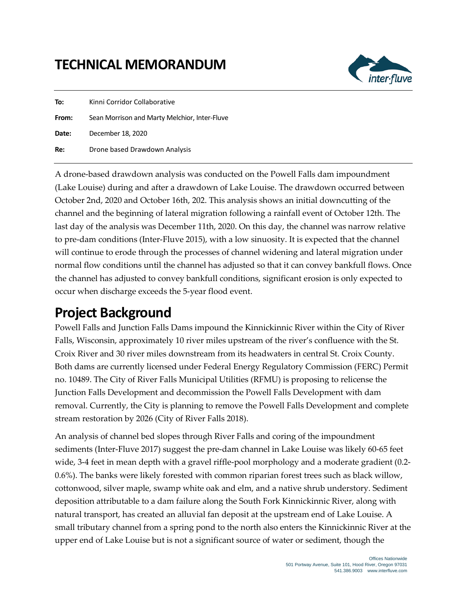## **TECHNICAL MEMORANDUM**



| To:   | Kinni Corridor Collaborative                  |  |  |
|-------|-----------------------------------------------|--|--|
| From: | Sean Morrison and Marty Melchior, Inter-Fluve |  |  |
| Date: | December 18, 2020                             |  |  |
| Re:   | Drone based Drawdown Analysis                 |  |  |

A drone-based drawdown analysis was conducted on the Powell Falls dam impoundment (Lake Louise) during and after a drawdown of Lake Louise. The drawdown occurred between October 2nd, 2020 and October 16th, 202. This analysis shows an initial downcutting of the channel and the beginning of lateral migration following a rainfall event of October 12th. The last day of the analysis was December 11th, 2020. On this day, the channel was narrow relative to pre-dam conditions (Inter-Fluve 2015), with a low sinuosity. It is expected that the channel will continue to erode through the processes of channel widening and lateral migration under normal flow conditions until the channel has adjusted so that it can convey bankfull flows. Once the channel has adjusted to convey bankfull conditions, significant erosion is only expected to occur when discharge exceeds the 5-year flood event.

#### **Project Background**

Powell Falls and Junction Falls Dams impound the Kinnickinnic River within the City of River Falls, Wisconsin, approximately 10 river miles upstream of the river's confluence with the St. Croix River and 30 river miles downstream from its headwaters in central St. Croix County. Both dams are currently licensed under Federal Energy Regulatory Commission (FERC) Permit no. 10489. The City of River Falls Municipal Utilities (RFMU) is proposing to relicense the Junction Falls Development and decommission the Powell Falls Development with dam removal. Currently, the City is planning to remove the Powell Falls Development and complete stream restoration by 2026 (City of River Falls 2018).

An analysis of channel bed slopes through River Falls and coring of the impoundment sediments (Inter-Fluve 2017) suggest the pre-dam channel in Lake Louise was likely 60-65 feet wide, 3-4 feet in mean depth with a gravel riffle-pool morphology and a moderate gradient (0.2- 0.6%). The banks were likely forested with common riparian forest trees such as black willow, cottonwood, silver maple, swamp white oak and elm, and a native shrub understory. Sediment deposition attributable to a dam failure along the South Fork Kinnickinnic River, along with natural transport, has created an alluvial fan deposit at the upstream end of Lake Louise. A small tributary channel from a spring pond to the north also enters the Kinnickinnic River at the upper end of Lake Louise but is not a significant source of water or sediment, though the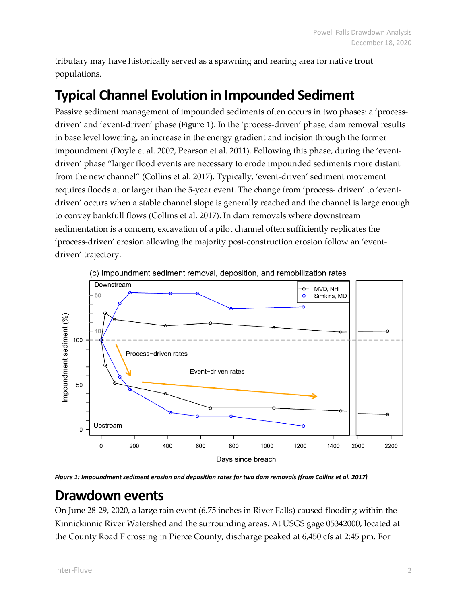tributary may have historically served as a spawning and rearing area for native trout populations.

# **Typical Channel Evolution in Impounded Sediment**

Passive sediment management of impounded sediments often occurs in two phases: a 'processdriven' and 'event-driven' phase ([Figure 1](#page-1-0)). In the 'process-driven' phase, dam removal results in base level lowering, an increase in the energy gradient and incision through the former impoundment (Doyle et al. 2002, Pearson et al. 2011). Following this phase, during the 'eventdriven' phase "larger flood events are necessary to erode impounded sediments more distant from the new channel" (Collins et al. 2017). Typically, 'event-driven' sediment movement requires floods at or larger than the 5-year event. The change from 'process- driven' to 'eventdriven' occurs when a stable channel slope is generally reached and the channel is large enough to convey bankfull flows (Collins et al. 2017). In dam removals where downstream sedimentation is a concern, excavation of a pilot channel often sufficiently replicates the 'process-driven' erosion allowing the majority post-construction erosion follow an 'eventdriven' trajectory.



<span id="page-1-0"></span>*Figure 1: Impoundment sediment erosion and deposition rates for two dam removals (from Collins et al. 2017)*

#### **Drawdown events**

On June 28-29, 2020, a large rain event (6.75 inches in River Falls) caused flooding within the Kinnickinnic River Watershed and the surrounding areas. At USGS gage 05342000, located at the County Road F crossing in Pierce County, discharge peaked at 6,450 cfs at 2:45 pm. For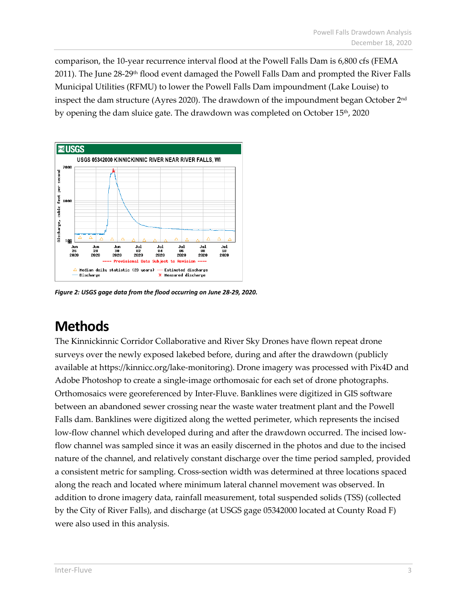comparison, the 10-year recurrence interval flood at the Powell Falls Dam is 6,800 cfs (FEMA 2011). The June 28-29<sup>th</sup> flood event damaged the Powell Falls Dam and prompted the River Falls Municipal Utilities (RFMU) to lower the Powell Falls Dam impoundment (Lake Louise) to inspect the dam structure (Ayres 2020). The drawdown of the impoundment began October 2nd by opening the dam sluice gate. The drawdown was completed on October 15<sup>th</sup>, 2020



*Figure 2: USGS gage data from the flood occurring on June 28-29, 2020.*

## **Methods**

The Kinnickinnic Corridor Collaborative and River Sky Drones have flown repeat drone surveys over the newly exposed lakebed before, during and after the drawdown (publicly available at https://kinnicc.org/lake-monitoring). Drone imagery was processed with Pix4D and Adobe Photoshop to create a single-image orthomosaic for each set of drone photographs. Orthomosaics were georeferenced by Inter-Fluve. Banklines were digitized in GIS software between an abandoned sewer crossing near the waste water treatment plant and the Powell Falls dam. Banklines were digitized along the wetted perimeter, which represents the incised low-flow channel which developed during and after the drawdown occurred. The incised lowflow channel was sampled since it was an easily discerned in the photos and due to the incised nature of the channel, and relatively constant discharge over the time period sampled, provided a consistent metric for sampling. Cross-section width was determined at three locations spaced along the reach and located where minimum lateral channel movement was observed. In addition to drone imagery data, rainfall measurement, total suspended solids (TSS) (collected by the City of River Falls), and discharge (at USGS gage 05342000 located at County Road F) were also used in this analysis.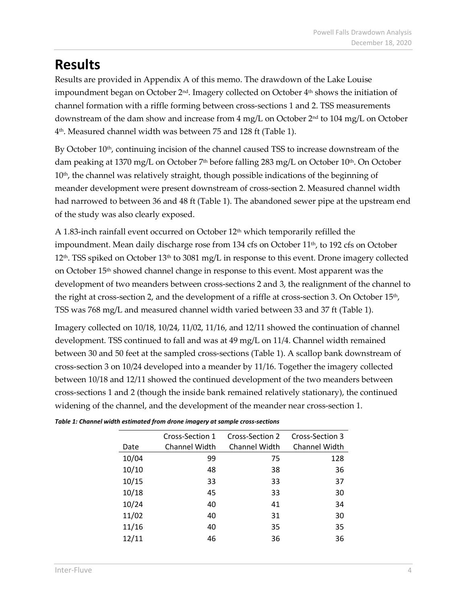# **Results**

Results are provided in Appendix A of this memo. The drawdown of the Lake Louise impoundment began on October  $2^{nd}$ . Imagery collected on October  $4^{th}$  shows the initiation of channel formation with a riffle forming between cross-sections 1 and 2. TSS measurements downstream of the dam show and increase from  $4 \text{ mg/L}$  on October  $2^{\text{nd}}$  to  $104 \text{ mg/L}$  on October 4th. Measured channel width was between 75 and 128 ft [\(Table 1\)](#page-3-0).

By October  $10<sup>th</sup>$ , continuing incision of the channel caused TSS to increase downstream of the dam peaking at 1370 mg/L on October 7<sup>th</sup> before falling 283 mg/L on October 10<sup>th</sup>. On October 10<sup>th</sup>, the channel was relatively straight, though possible indications of the beginning of meander development were present downstream of cross-section 2. Measured channel width had narrowed to between 36 and 48 ft [\(Table 1\)](#page-3-0). The abandoned sewer pipe at the upstream end of the study was also clearly exposed.

A 1.83-inch rainfall event occurred on October 12th which temporarily refilled the impoundment. Mean daily discharge rose from 134 cfs on October 11<sup>th</sup>, to 192 cfs on October  $12<sup>th</sup>$ . TSS spiked on October  $13<sup>th</sup>$  to 3081 mg/L in response to this event. Drone imagery collected on October 15th showed channel change in response to this event. Most apparent was the development of two meanders between cross-sections 2 and 3, the realignment of the channel to the right at cross-section 2, and the development of a riffle at cross-section 3. On October 15<sup>th</sup>, TSS was 768 mg/L and measured channel width varied between 33 and 37 ft [\(Table 1\)](#page-3-0).

Imagery collected on 10/18, 10/24, 11/02, 11/16, and 12/11 showed the continuation of channel development. TSS continued to fall and was at 49 mg/L on 11/4. Channel width remained between 30 and 50 feet at the sampled cross-sections [\(Table 1\)](#page-3-0). A scallop bank downstream of cross-section 3 on 10/24 developed into a meander by 11/16. Together the imagery collected between 10/18 and 12/11 showed the continued development of the two meanders between cross-sections 1 and 2 (though the inside bank remained relatively stationary), the continued widening of the channel, and the development of the meander near cross-section 1.

|       | Cross-Section 1      | Cross-Section 2      | Cross-Section 3      |
|-------|----------------------|----------------------|----------------------|
| Date  | <b>Channel Width</b> | <b>Channel Width</b> | <b>Channel Width</b> |
| 10/04 | 99                   | 75                   | 128                  |
| 10/10 | 48                   | 38                   | 36                   |
| 10/15 | 33                   | 33                   | 37                   |
| 10/18 | 45                   | 33                   | 30                   |
| 10/24 | 40                   | 41                   | 34                   |
| 11/02 | 40                   | 31                   | 30                   |
| 11/16 | 40                   | 35                   | 35                   |
| 12/11 | 46                   | 36                   | 36                   |
|       |                      |                      |                      |

<span id="page-3-0"></span>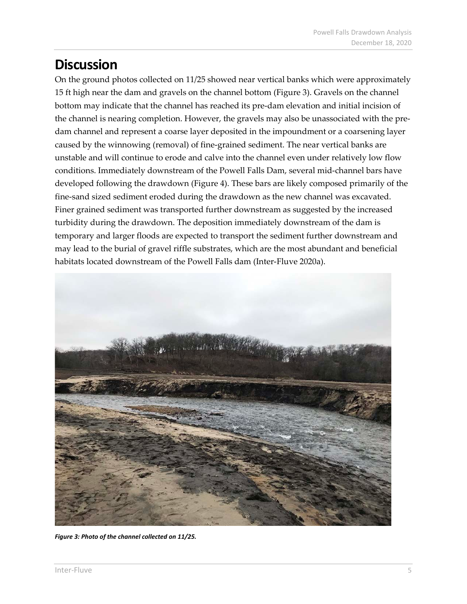## **Discussion**

On the ground photos collected on 11/25 showed near vertical banks which were approximately 15 ft high near the dam and gravels on the channel bottom [\(Figure 3\)](#page-4-0). Gravels on the channel bottom may indicate that the channel has reached its pre-dam elevation and initial incision of the channel is nearing completion. However, the gravels may also be unassociated with the predam channel and represent a coarse layer deposited in the impoundment or a coarsening layer caused by the winnowing (removal) of fine-grained sediment. The near vertical banks are unstable and will continue to erode and calve into the channel even under relatively low flow conditions. Immediately downstream of the Powell Falls Dam, several mid-channel bars have developed following the drawdown [\(Figure 4\)](#page-5-0). These bars are likely composed primarily of the fine-sand sized sediment eroded during the drawdown as the new channel was excavated. Finer grained sediment was transported further downstream as suggested by the increased turbidity during the drawdown. The deposition immediately downstream of the dam is temporary and larger floods are expected to transport the sediment further downstream and may lead to the burial of gravel riffle substrates, which are the most abundant and beneficial habitats located downstream of the Powell Falls dam (Inter-Fluve 2020a).

<span id="page-4-0"></span>

*Figure 3: Photo of the channel collected on 11/25.*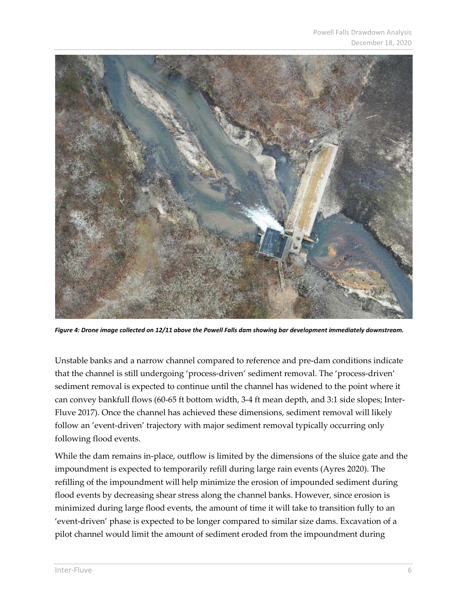

*Figure 4: Drone image collected on 12/11 above the Powell Falls dam showing bar development immediately downstream.*

<span id="page-5-0"></span>Unstable banks and a narrow channel compared to reference and pre-dam conditions indicate that the channel is still undergoing 'process-driven' sediment removal. The 'process-driven' sediment removal is expected to continue until the channel has widened to the point where it can convey bankfull flows (60-65 ft bottom width, 3-4 ft mean depth, and 3:1 side slopes; Inter-Fluve 2017). Once the channel has achieved these dimensions, sediment removal will likely follow an 'event-driven' trajectory with major sediment removal typically occurring only following flood events.

While the dam remains in-place, outflow is limited by the dimensions of the sluice gate and the impoundment is expected to temporarily refill during large rain events (Ayres 2020). The refilling of the impoundment will help minimize the erosion of impounded sediment during flood events by decreasing shear stress along the channel banks. However, since erosion is minimized during large flood events, the amount of time it will take to transition fully to an 'event-driven' phase is expected to be longer compared to similar size dams. Excavation of a pilot channel would limit the amount of sediment eroded from the impoundment during